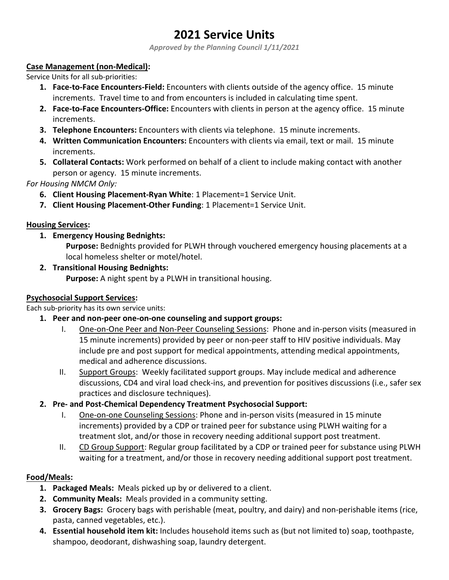# **2021 Service Units**

*Approved by the Planning Council 1/11/2021*

#### **Case Management (non-Medical):**

Service Units for all sub-priorities:

- **1. Face-to-Face Encounters-Field:** Encounters with clients outside of the agency office. 15 minute increments. Travel time to and from encounters is included in calculating time spent.
- **2. Face-to-Face Encounters-Office:** Encounters with clients in person at the agency office. 15 minute increments.
- **3. Telephone Encounters:** Encounters with clients via telephone. 15 minute increments.
- **4. Written Communication Encounters:** Encounters with clients via email, text or mail. 15 minute increments.
- **5. Collateral Contacts:** Work performed on behalf of a client to include making contact with another person or agency. 15 minute increments.

*For Housing NMCM Only:*

- **6. Client Housing Placement-Ryan White**: 1 Placement=1 Service Unit.
- **7. Client Housing Placement-Other Funding**: 1 Placement=1 Service Unit.

#### **Housing Services:**

**1. Emergency Housing Bednights:** 

**Purpose:** Bednights provided for PLWH through vouchered emergency housing placements at a local homeless shelter or motel/hotel.

**2. Transitional Housing Bednights:**

**Purpose:** A night spent by a PLWH in transitional housing.

### **Psychosocial Support Services:**

Each sub-priority has its own service units:

- **1. Peer and non-peer one-on-one counseling and support groups:** 
	- I. One-on-One Peer and Non-Peer Counseling Sessions: Phone and in-person visits (measured in 15 minute increments) provided by peer or non-peer staff to HIV positive individuals. May include pre and post support for medical appointments, attending medical appointments, medical and adherence discussions.
	- II. Support Groups: Weekly facilitated support groups. May include medical and adherence discussions, CD4 and viral load check-ins, and prevention for positives discussions (i.e., safer sex practices and disclosure techniques).
- **2. Pre- and Post-Chemical Dependency Treatment Psychosocial Support:**
	- I. One-on-one Counseling Sessions: Phone and in-person visits (measured in 15 minute increments) provided by a CDP or trained peer for substance using PLWH waiting for a treatment slot, and/or those in recovery needing additional support post treatment.
	- II. CD Group Support: Regular group facilitated by a CDP or trained peer for substance using PLWH waiting for a treatment, and/or those in recovery needing additional support post treatment.

### **Food/Meals:**

- **1. Packaged Meals:** Meals picked up by or delivered to a client.
- **2. Community Meals:** Meals provided in a community setting.
- **3. Grocery Bags:** Grocery bags with perishable (meat, poultry, and dairy) and non-perishable items (rice, pasta, canned vegetables, etc.).
- **4. Essential household item kit:** Includes household items such as (but not limited to) soap, toothpaste, shampoo, deodorant, dishwashing soap, laundry detergent.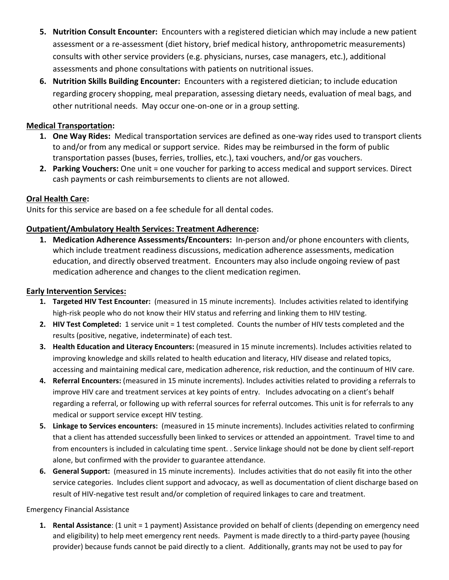- **5. Nutrition Consult Encounter:** Encounters with a registered dietician which may include a new patient assessment or a re-assessment (diet history, brief medical history, anthropometric measurements) consults with other service providers (e.g. physicians, nurses, case managers, etc.), additional assessments and phone consultations with patients on nutritional issues.
- **6. Nutrition Skills Building Encounter:** Encounters with a registered dietician; to include education regarding grocery shopping, meal preparation, assessing dietary needs, evaluation of meal bags, and other nutritional needs. May occur one-on-one or in a group setting.

### **Medical Transportation:**

- **1. One Way Rides:** Medical transportation services are defined as one-way rides used to transport clients to and/or from any medical or support service. Rides may be reimbursed in the form of public transportation passes (buses, ferries, trollies, etc.), taxi vouchers, and/or gas vouchers.
- **2. Parking Vouchers:** One unit = one voucher for parking to access medical and support services. Direct cash payments or cash reimbursements to clients are not allowed.

# **Oral Health Care:**

Units for this service are based on a fee schedule for all dental codes.

# **Outpatient/Ambulatory Health Services: Treatment Adherence:**

**1. Medication Adherence Assessments/Encounters:** In-person and/or phone encounters with clients, which include treatment readiness discussions, medication adherence assessments, medication education, and directly observed treatment. Encounters may also include ongoing review of past medication adherence and changes to the client medication regimen.

## **Early Intervention Services:**

- **1. Targeted HIV Test Encounter:** (measured in 15 minute increments). Includes activities related to identifying high-risk people who do not know their HIV status and referring and linking them to HIV testing.
- **2. HIV Test Completed:** 1 service unit = 1 test completed. Counts the number of HIV tests completed and the results (positive, negative, indeterminate) of each test.
- **3. Health Education and Literacy Encounters:** (measured in 15 minute increments). Includes activities related to improving knowledge and skills related to health education and literacy, HIV disease and related topics, accessing and maintaining medical care, medication adherence, risk reduction, and the continuum of HIV care.
- **4. Referral Encounters:** (measured in 15 minute increments). Includes activities related to providing a referrals to improve HIV care and treatment services at key points of entry. Includes advocating on a client's behalf regarding a referral, or following up with referral sources for referral outcomes. This unit is for referrals to any medical or support service except HIV testing.
- **5. Linkage to Services encounters:** (measured in 15 minute increments). Includes activities related to confirming that a client has attended successfully been linked to services or attended an appointment. Travel time to and from encounters is included in calculating time spent. . Service linkage should not be done by client self-report alone, but confirmed with the provider to guarantee attendance.
- **6. General Support:** (measured in 15 minute increments). Includes activities that do not easily fit into the other service categories. Includes client support and advocacy, as well as documentation of client discharge based on result of HIV-negative test result and/or completion of required linkages to care and treatment.

### Emergency Financial Assistance

**1. Rental Assistance**: (1 unit = 1 payment) Assistance provided on behalf of clients (depending on emergency need and eligibility) to help meet emergency rent needs. Payment is made directly to a third-party payee (housing provider) because funds cannot be paid directly to a client. Additionally, grants may not be used to pay for